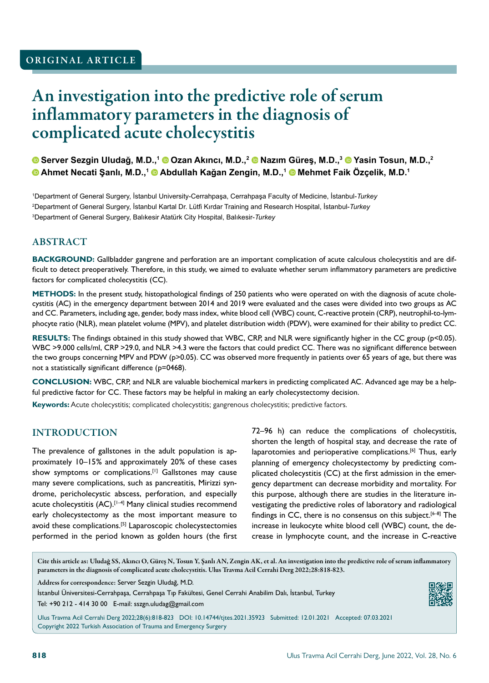## ORIGINAL ARTICLE

# An investigation into the predictive role of serum inflammatory parameters in the diagnosis of complicated acute cholecystitis

**Server Sezgin Uludağ, M.D.,<sup>1</sup> Ozan Akıncı, M.D.,<sup>2</sup> Nazım Güreş, M.D.,<sup>3</sup> Yasin Tosun, M.D.,<sup>2</sup> Ahmet Necati Şanlı, M.D.,<sup>1</sup> Abdullah Kağan Zengin, M.D.,<sup>1</sup> Mehmet Faik Özçelik, M.D.<sup>1</sup>**

1 Department of General Surgery, İstanbul University-Cerrahpaşa, Cerrahpaşa Faculty of Medicine, İstanbul-*Turkey* 2 Department of General Surgery, İstanbul Kartal Dr. Lütfi Kırdar Training and Research Hospital, İstanbul-*Turkey* 3 Department of General Surgery, Balıkesir Atatürk City Hospital, Balıkesir-*Turkey*

### ABSTRACT

**BACKGROUND:** Gallbladder gangrene and perforation are an important complication of acute calculous cholecystitis and are difficult to detect preoperatively. Therefore, in this study, we aimed to evaluate whether serum inflammatory parameters are predictive factors for complicated cholecystitis (CC).

**METHODS:** In the present study, histopathological findings of 250 patients who were operated on with the diagnosis of acute cholecystitis (AC) in the emergency department between 2014 and 2019 were evaluated and the cases were divided into two groups as AC and CC. Parameters, including age, gender, body mass index, white blood cell (WBC) count, C-reactive protein (CRP), neutrophil-to-lymphocyte ratio (NLR), mean platelet volume (MPV), and platelet distribution width (PDW), were examined for their ability to predict CC.

**RESULTS:** The findings obtained in this study showed that WBC, CRP, and NLR were significantly higher in the CC group (p<0.05). WBC >9.000 cells/ml, CRP >29.0, and NLR >4.3 were the factors that could predict CC. There was no significant difference between the two groups concerning MPV and PDW (p>0.05). CC was observed more frequently in patients over 65 years of age, but there was not a statistically significant difference (p=0468).

**CONCLUSION:** WBC, CRP, and NLR are valuable biochemical markers in predicting complicated AC. Advanced age may be a helpful predictive factor for CC. These factors may be helpful in making an early cholecystectomy decision.

**Keywords:** Acute cholecystitis; complicated cholecystitis; gangrenous cholecystitis; predictive factors.

#### INTRODUCTION

The prevalence of gallstones in the adult population is approximately 10–15% and approximately 20% of these cases show symptoms or complications.[1] Gallstones may cause many severe complications, such as pancreatitis, Mirizzi syndrome, pericholecystic abscess, perforation, and especially acute cholecystitis (AC).<sup>[1-4]</sup> Many clinical studies recommend early cholecystectomy as the most important measure to avoid these complications.<sup>[5]</sup> Laparoscopic cholecystectomies performed in the period known as golden hours (the first

72–96 h) can reduce the complications of cholecystitis, shorten the length of hospital stay, and decrease the rate of laparotomies and perioperative complications.<sup>[6]</sup> Thus, early planning of emergency cholecystectomy by predicting complicated cholecystitis (CC) at the first admission in the emergency department can decrease morbidity and mortality. For this purpose, although there are studies in the literature investigating the predictive roles of laboratory and radiological findings in CC, there is no consensus on this subject.<sup>[6-8]</sup> The increase in leukocyte white blood cell (WBC) count, the decrease in lymphocyte count, and the increase in C-reactive

Cite this article as: Uludağ SS, Akıncı O, Güreş N, Tosun Y, Şanlı AN, Zengin AK, et al. An investigation into the predictive role of serum inflammatory parameters in the diagnosis of complicated acute cholecystitis. Ulus Travma Acil Cerrahi Derg 2022;28:818-823.

Address for correspondence: Server Sezgin Uludağ, M.D.

İstanbul Üniversitesi-Cerrahpaşa, Cerrahpaşa Tıp Fakültesi, Genel Cerrahi Anabilim Dalı, İstanbul, Turkey Tel: +90 212 - 414 30 00 E-mail: sszgn.uludag@gmail.com



Ulus Travma Acil Cerrahi Derg 2022;28(6):818-823 DOI: 10.14744/tjtes.2021.35923 Submitted: 12.01.2021 Accepted: 07.03.2021 Copyright 2022 Turkish Association of Trauma and Emergency Surgery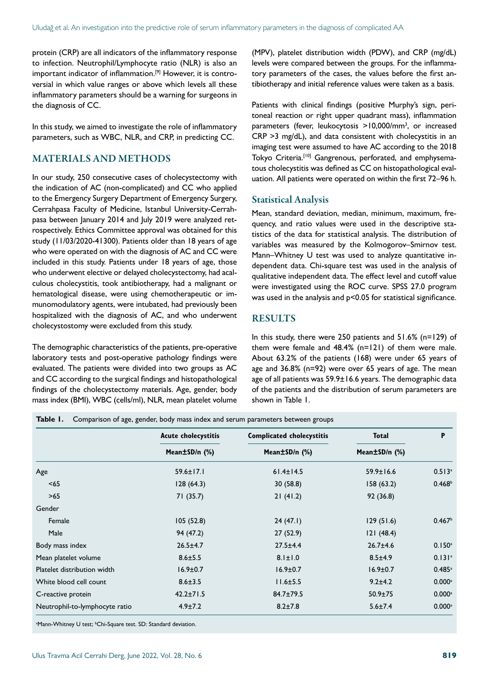protein (CRP) are all indicators of the inflammatory response to infection. Neutrophil/Lymphocyte ratio (NLR) is also an important indicator of inflammation.[9] However, it is controversial in which value ranges or above which levels all these inflammatory parameters should be a warning for surgeons in the diagnosis of CC.

In this study, we aimed to investigate the role of inflammatory parameters, such as WBC, NLR, and CRP, in predicting CC.

### MATERIALS AND METHODS

In our study, 250 consecutive cases of cholecystectomy with the indication of AC (non-complicated) and CC who applied to the Emergency Surgery Department of Emergency Surgery, Cerrahpasa Faculty of Medicine, Istanbul University-Cerrahpasa between January 2014 and July 2019 were analyzed retrospectively. Ethics Committee approval was obtained for this study (11/03/2020-41300). Patients older than 18 years of age who were operated on with the diagnosis of AC and CC were included in this study. Patients under 18 years of age, those who underwent elective or delayed cholecystectomy, had acalculous cholecystitis, took antibiotherapy, had a malignant or hematological disease, were using chemotherapeutic or immunomodulatory agents, were intubated, had previously been hospitalized with the diagnosis of AC, and who underwent cholecystostomy were excluded from this study.

The demographic characteristics of the patients, pre-operative laboratory tests and post-operative pathology findings were evaluated. The patients were divided into two groups as AC and CC according to the surgical findings and histopathological findings of the cholecystectomy materials. Age, gender, body mass index (BMI), WBC (cells/ml), NLR, mean platelet volume

**Table 1.** Comparison of age, gender, body mass index and serum parameters between groups

(MPV), platelet distribution width (PDW), and CRP (mg/dL) levels were compared between the groups. For the inflammatory parameters of the cases, the values before the first antibiotherapy and initial reference values were taken as a basis.

Patients with clinical findings (positive Murphy's sign, peritoneal reaction or right upper quadrant mass), inflammation parameters (fever, leukocytosis >10,000/mm<sup>3</sup>, or increased CRP >3 mg/dL), and data consistent with cholecystitis in an imaging test were assumed to have AC according to the 2018 Tokyo Criteria.<sup>[10]</sup> Gangrenous, perforated, and emphysematous cholecystitis was defined as CC on histopathological evaluation. All patients were operated on within the first 72–96 h.

#### Statistical Analysis

Mean, standard deviation, median, minimum, maximum, frequency, and ratio values were used in the descriptive statistics of the data for statistical analysis. The distribution of variables was measured by the Kolmogorov–Smirnov test. Mann–Whitney U test was used to analyze quantitative independent data. Chi-square test was used in the analysis of qualitative independent data. The effect level and cutoff value were investigated using the ROC curve. SPSS 27.0 program was used in the analysis and p<0.05 for statistical significance.

### RESULTS

In this study, there were 250 patients and 51.6% (n=129) of them were female and 48.4% (n=121) of them were male. About 63.2% of the patients (168) were under 65 years of age and 36.8% (n=92) were over 65 years of age. The mean age of all patients was 59.9±16.6 years. The demographic data of the patients and the distribution of serum parameters are shown in Table 1.

|                                | <b>Acute cholecystitis</b> | <b>Complicated cholecystitis</b> | Total           | P                    |
|--------------------------------|----------------------------|----------------------------------|-----------------|----------------------|
|                                | Mean±SD/n (%)              | Mean±SD/n (%)                    | Mean±SD/n (%)   |                      |
| Age                            | $59.6 \pm 17.1$            | $61.4 \pm 14.5$                  | $59.9 \pm 16.6$ | $0.513$ <sup>a</sup> |
| < 65                           | 128(64.3)                  | 30(58.8)                         | 158(63.2)       | 0.468 <sup>b</sup>   |
| >65                            | 71(35.7)                   | 21(41.2)                         | 92(36.8)        |                      |
| Gender                         |                            |                                  |                 |                      |
| Female                         | 105(52.8)                  | 24(47.1)                         | 129(51.6)       | 0.467 <sup>b</sup>   |
| Male                           | 94 (47.2)                  | 27(52.9)                         | 121(48.4)       |                      |
| Body mass index                | $26.5 \pm 4.7$             | $27.5 + 4.4$                     | $26.7 + 4.6$    | $0.150$ <sup>a</sup> |
| Mean platelet volume           | $8.6 \pm 5.5$              | $8.1 \pm 1.0$                    | $8.5 \pm 4.9$   | 0.131 <sup>a</sup>   |
| Platelet distribution width    | $16.9 \pm 0.7$             | $16.9 \pm 0.7$                   | $16.9 \pm 0.7$  | 0.485a               |
| White blood cell count         | $8.6 \pm 3.5$              | $11.6 \pm 5.5$                   | $9.2 \pm 4.2$   | $0.000$ <sup>a</sup> |
| C-reactive protein             | $42.2 \pm 71.5$            | $84.7 \pm 79.5$                  | $50.9 \pm 75$   | $0.000$ <sup>a</sup> |
| Neutrophil-to-lymphocyte ratio | $4.9 \pm 7.2$              | $8.2 \pm 7.8$                    | $5.6 \pm 7.4$   | $0.000$ <sup>a</sup> |

<sup>a</sup>Mann-Whitney U test; <sup>b</sup>Chi-Square test. SD: Standard deviation.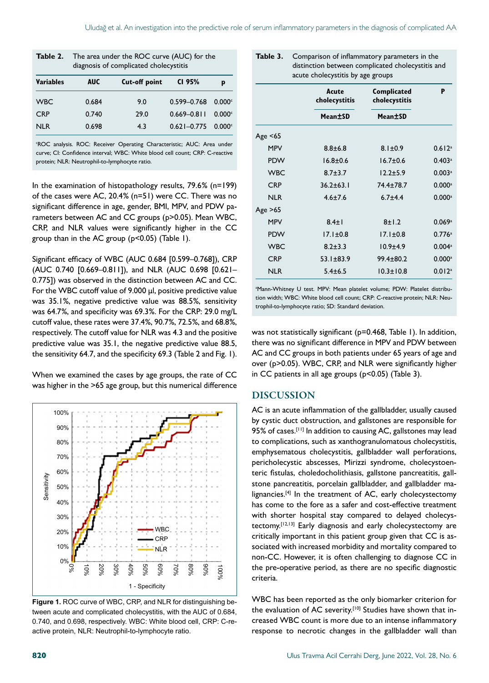| Table 2.         | The area under the ROC curve (AUC) for the<br>diagnosis of complicated cholecystitis |                      |                 |        |  |
|------------------|--------------------------------------------------------------------------------------|----------------------|-----------------|--------|--|
| <b>Variables</b> | <b>AUC</b>                                                                           | <b>Cut-off point</b> | CI 95%          | р      |  |
| <b>WBC</b>       | 0.684                                                                                | 9.0                  | $0.599 - 0.768$ | 0.000c |  |
| <b>CRP</b>       | 0.740                                                                                | 29.0                 | $0.669 - 0.811$ | 0.000c |  |
| NI R             | 0.698                                                                                | 4.3                  | $0.621 - 0.775$ | 0.000c |  |

'ROC analysis. ROC: Receiver Operating Characteristic; AUC: Area under curve; CI: Confidence interval; WBC: White blood cell count; CRP: C-reactive protein; NLR: Neutrophil-to-lymphocyte ratio.

In the examination of histopathology results, 79.6% (n=199) of the cases were AC, 20.4% (n=51) were CC. There was no significant difference in age, gender, BMI, MPV, and PDW parameters between AC and CC groups (p>0.05). Mean WBC, CRP, and NLR values were significantly higher in the CC group than in the AC group (p<0.05) (Table 1).

Significant efficacy of WBC (AUC 0.684 [0.599–0.768]), CRP (AUC 0.740 [0.669–0.811]), and NLR (AUC 0.698 [0.621– 0.775]) was observed in the distinction between AC and CC. For the WBC cutoff value of 9.000 µl, positive predictive value was 35.1%, negative predictive value was 88.5%, sensitivity was 64.7%, and specificity was 69.3%. For the CRP: 29.0 mg/L cutoff value, these rates were 37.4%, 90.7%, 72.5%, and 68.8%, respectively. The cutoff value for NLR was 4.3 and the positive predictive value was 35.1, the negative predictive value 88.5, the sensitivity 64.7, and the specificity 69.3 (Table 2 and Fig. 1).

When we examined the cases by age groups, the rate of CC was higher in the >65 age group, but this numerical difference



**Figure 1.** ROC curve of WBC, CRP, and NLR for distinguishing between acute and complicated cholecystitis, with the AUC of 0.684, 0.740, and 0.698, respectively. WBC: White blood cell, CRP: C-reactive protein, NLR: Neutrophil-to-lymphocyte ratio.

| acute cholecystitis by age groups |                        |                              |                      |  |  |  |
|-----------------------------------|------------------------|------------------------------|----------------------|--|--|--|
|                                   | Acute<br>cholecystitis | Complicated<br>cholecystitis | P                    |  |  |  |
|                                   | Mean±SD                | Mean±SD                      |                      |  |  |  |
| Age $< 65$                        |                        |                              |                      |  |  |  |
| <b>MPV</b>                        | $8.8 + 6.8$            | $8.1 \pm 0.9$                | $0.612$ <sup>a</sup> |  |  |  |
| <b>PDW</b>                        | $16.8 + 0.6$           | $16.7 \pm 0.6$               | $0.403$ <sup>a</sup> |  |  |  |
| <b>WBC</b>                        | $8.7 + 3.7$            | $12.2 + 5.9$                 | $0.003$ <sup>a</sup> |  |  |  |
| <b>CRP</b>                        | $36.2 \pm 63.1$        | $74.4 \pm 78.7$              | $0.000$ <sup>a</sup> |  |  |  |
| <b>NLR</b>                        | $4.6 \pm 7.6$          | $6.7 + 4.4$                  | $0.000$ <sup>a</sup> |  |  |  |
| Age $>65$                         |                        |                              |                      |  |  |  |
| <b>MPV</b>                        | $8.4 \pm 1$            | 8±1.2                        | 0.069a               |  |  |  |
| <b>PDW</b>                        | $17.1 \pm 0.8$         | $17.1 \pm 0.8$               | 0.776a               |  |  |  |
| <b>WBC</b>                        | $8.2 \pm 3.3$          | $10.9 + 4.9$                 | $0.004$ <sup>a</sup> |  |  |  |
| <b>CRP</b>                        | $53.1 \pm 83.9$        | $99.4 \pm 80.2$              | $0.000$ <sup>a</sup> |  |  |  |

**Table 3.** Comparison of inflammatory parameters in the

distinction between complicated cholecystitis and

<sup>a</sup>Mann-Whitney U test. MPV: Mean platelet volume; PDW: Platelet distribution width; WBC: White blood cell count; CRP: C-reactive protein; NLR: Neutrophil-to-lymphocyte ratio; SD: Standard deviation.

NLR 5.4±6.5 10.3±10.8 0.012<sup>a</sup>

was not statistically significant (p=0.468, Table 1). In addition, there was no significant difference in MPV and PDW between AC and CC groups in both patients under 65 years of age and over (p>0.05). WBC, CRP, and NLR were significantly higher in CC patients in all age groups (p<0.05) (Table 3).

#### DISCUSSION

AC is an acute inflammation of the gallbladder, usually caused by cystic duct obstruction, and gallstones are responsible for 95% of cases.<sup>[11]</sup> In addition to causing AC, gallstones may lead to complications, such as xanthogranulomatous cholecystitis, emphysematous cholecystitis, gallbladder wall perforations, pericholecystic abscesses, Mirizzi syndrome, cholecystoenteric fistulas, choledocholithiasis, gallstone pancreatitis, gallstone pancreatitis, porcelain gallbladder, and gallbladder malignancies.<sup>[4]</sup> In the treatment of AC, early cholecystectomy has come to the fore as a safer and cost-effective treatment with shorter hospital stay compared to delayed cholecystectomy.[12,13] Early diagnosis and early cholecystectomy are critically important in this patient group given that CC is associated with increased morbidity and mortality compared to non-CC. However, it is often challenging to diagnose CC in the pre-operative period, as there are no specific diagnostic criteria.

WBC has been reported as the only biomarker criterion for the evaluation of AC severity.<sup>[10]</sup> Studies have shown that increased WBC count is more due to an intense inflammatory response to necrotic changes in the gallbladder wall than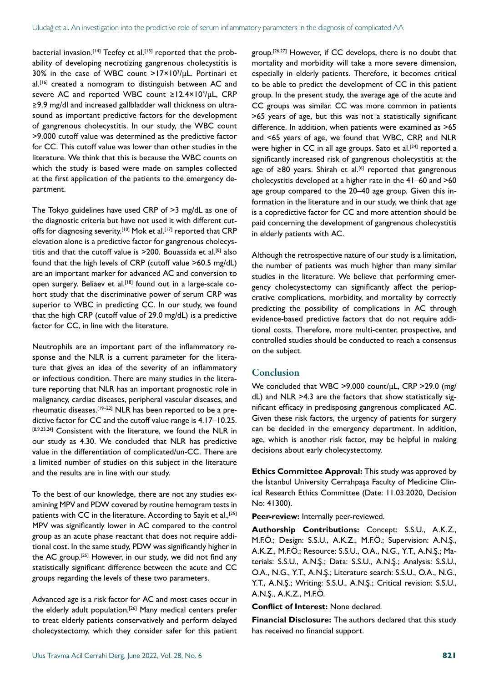bacterial invasion.<sup>[14]</sup> Teefey et al.<sup>[15]</sup> reported that the probability of developing necrotizing gangrenous cholecystitis is 30% in the case of WBC count >17×103 /μL. Portinari et al.<sup>[16]</sup> created a nomogram to distinguish between AC and severe AC and reported WBC count ≥12.4×10<sup>3</sup>/µL, CRP ≥9.9 mg/dl and increased gallbladder wall thickness on ultrasound as important predictive factors for the development of gangrenous cholecystitis. In our study, the WBC count >9.000 cutoff value was determined as the predictive factor for CC. This cutoff value was lower than other studies in the literature. We think that this is because the WBC counts on which the study is based were made on samples collected at the first application of the patients to the emergency department.

The Tokyo guidelines have used CRP of >3 mg/dL as one of the diagnostic criteria but have not used it with different cutoffs for diagnosing severity.<sup>[10]</sup> Mok et al.<sup>[17]</sup> reported that CRP elevation alone is a predictive factor for gangrenous cholecystitis and that the cutoff value is >200. Bouassida et al.[8] also found that the high levels of CRP (cutoff value >60.5 mg/dL) are an important marker for advanced AC and conversion to open surgery. Beliaev et al.<sup>[18]</sup> found out in a large-scale cohort study that the discriminative power of serum CRP was superior to WBC in predicting CC. In our study, we found that the high CRP (cutoff value of 29.0 mg/dL) is a predictive factor for CC, in line with the literature.

Neutrophils are an important part of the inflammatory response and the NLR is a current parameter for the literature that gives an idea of the severity of an inflammatory or infectious condition. There are many studies in the literature reporting that NLR has an important prognostic role in malignancy, cardiac diseases, peripheral vascular diseases, and rheumatic diseases.[19–22] NLR has been reported to be a predictive factor for CC and the cutoff value range is 4.17–10.25. [8,9,23,24] Consistent with the literature, we found the NLR in our study as 4.30. We concluded that NLR has predictive value in the differentiation of complicated/un-CC. There are a limited number of studies on this subject in the literature and the results are in line with our study.

To the best of our knowledge, there are not any studies examining MPV and PDW covered by routine hemogram tests in patients with CC in the literature. According to Sayit et al.,<sup>[25]</sup> MPV was significantly lower in AC compared to the control group as an acute phase reactant that does not require additional cost. In the same study, PDW was significantly higher in the AC group.<sup>[25]</sup> However, in our study, we did not find any statistically significant difference between the acute and CC groups regarding the levels of these two parameters.

Advanced age is a risk factor for AC and most cases occur in the elderly adult population.[26] Many medical centers prefer to treat elderly patients conservatively and perform delayed cholecystectomy, which they consider safer for this patient group.[26,27] However, if CC develops, there is no doubt that mortality and morbidity will take a more severe dimension, especially in elderly patients. Therefore, it becomes critical to be able to predict the development of CC in this patient group. In the present study, the average age of the acute and CC groups was similar. CC was more common in patients >65 years of age, but this was not a statistically significant difference. In addition, when patients were examined as >65 and <65 years of age, we found that WBC, CRP, and NLR were higher in CC in all age groups. Sato et al.<sup>[24]</sup> reported a significantly increased risk of gangrenous cholecystitis at the age of ≥80 years. Shirah et al.<sup>[6]</sup> reported that gangrenous cholecystitis developed at a higher rate in the 41–60 and >60 age group compared to the 20–40 age group. Given this information in the literature and in our study, we think that age is a copredictive factor for CC and more attention should be paid concerning the development of gangrenous cholecystitis in elderly patients with AC.

Although the retrospective nature of our study is a limitation, the number of patients was much higher than many similar studies in the literature. We believe that performing emergency cholecystectomy can significantly affect the perioperative complications, morbidity, and mortality by correctly predicting the possibility of complications in AC through evidence-based predictive factors that do not require additional costs. Therefore, more multi-center, prospective, and controlled studies should be conducted to reach a consensus on the subject.

#### Conclusion

We concluded that WBC >9.000 count/μL, CRP >29.0 (mg/ dL) and NLR >4.3 are the factors that show statistically significant efficacy in predisposing gangrenous complicated AC. Given these risk factors, the urgency of patients for surgery can be decided in the emergency department. In addition, age, which is another risk factor, may be helpful in making decisions about early cholecystectomy.

**Ethics Committee Approval:** This study was approved by the İstanbul University Cerrahpaşa Faculty of Medicine Clinical Research Ethics Committee (Date: 11.03.2020, Decision No: 41300).

**Peer-review:** Internally peer-reviewed.

**Authorship Contributions:** Concept: S.S.U., A.K.Z., M.F.Ö.; Design: S.S.U., A.K.Z., M.F.Ö.; Supervision: A.N.Ş., A.K.Z., M.F.Ö.; Resource: S.S.U., O.A., N.G., Y.T., A.N.Ş.; Materials: S.S.U., A.N.Ş.; Data: S.S.U., A.N.Ş.; Analysis: S.S.U., O.A., N.G., Y.T., A.N.Ş.; Literature search: S.S.U., O.A., N.G., Y.T., A.N.Ş.; Writing: S.S.U., A.N.Ş.; Critical revision: S.S.U., A.N.Ş., A.K.Z., M.F.Ö.

**Conflict of Interest:** None declared.

**Financial Disclosure:** The authors declared that this study has received no financial support.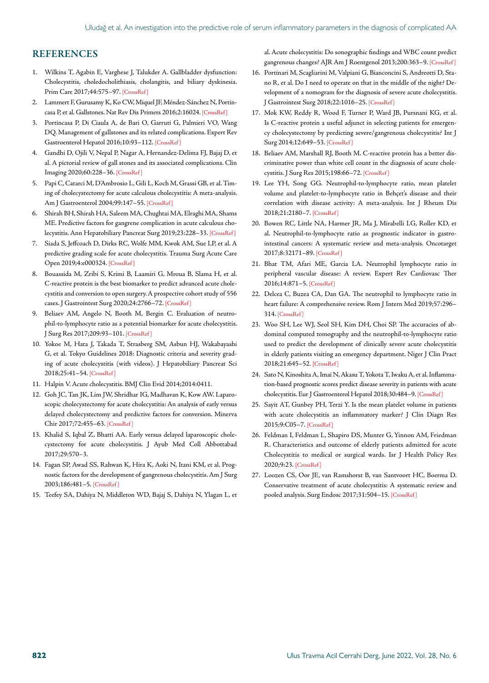#### **REFERENCES**

- 1. Wilkins T, Agabin E, Varghese J, Talukder A. Gallbladder dysfunction: Cholecystitis, choledocholithiasis, cholangitis, and biliary dyskinesia. Prim Care 2017;44:575–97. [\[CrossRef \]](https://doi.org/10.1016/j.pop.2017.07.002)
- 2. Lammert F, Gurusamy K, Ko CW, Miquel JF, Méndez-Sánchez N, Portincasa P, et al. Gallstones. Nat Rev Dis Primers 2016;2:1602[4. \[CrossRef \]](https://doi.org/10.1038/nrdp.2016.24)
- 3. Portincasa P, Di Ciaula A, de Bari O, Garruti G, Palmieri VO, Wang DQ. Management of gallstones and its related complications. Expert Rev Gastroenterol Hepatol 2016;10:93–112[. \[CrossRef \]](https://doi.org/10.1586/17474124.2016.1109445)
- 4. Gandhi D, Ojili V, Nepal P, Nagar A, Hernandez-Delima FJ, Bajaj D, et al. A pictorial review of gall stones and its associated complications. Clin Imaging 2020;60:228–3[6. \[CrossRef \]](https://doi.org/10.1016/j.clinimag.2019.11.015)
- 5. Papi C, Catarci M, D'Ambrosio L, Gili L, Koch M, Grassi GB, et al. Timing of cholecystectomy for acute calculous cholecystitis: A meta-analysis. Am J Gastroenterol 2004;99:147–[55. \[CrossRef \]](https://doi.org/10.1046/j.1572-0241.2003.04002.x)
- 6. Shirah BH, Shirah HA, Saleem MA, Chughtai MA, Elraghi MA, Shams ME. Predictive factors for gangrene complication in acute calculous cholecystitis. Ann Hepatobiliary Pancreat Surg 2019;23:228–3[3. \[CrossRef \]](https://doi.org/10.14701/ahbps.2019.23.3.228)
- 7. Siada S, Jeffcoach D, Dirks RC, Wolfe MM, Kwok AM, Sue LP, et al. A predictive grading scale for acute cholecystitis. Trauma Surg Acute Care Open 2019;4:e00032[4. \[CrossRef \]](https://doi.org/10.1136/tsaco-2019-000324)
- 8. Bouassida M, Zribi S, Krimi B, Laamiri G, Mroua B, Slama H, et al. C-reactive protein is the best biomarker to predict advanced acute cholecystitis and conversion to open surgery. A prospective cohort study of 556 cases. J Gastrointest Surg 2020;24:2766–[72. \[CrossRef \]](https://doi.org/10.1007/s11605-019-04459-8)
- 9. Beliaev AM, Angelo N, Booth M, Bergin C. Evaluation of neutrophil-to-lymphocyte ratio as a potential biomarker for acute cholecystitis. J Surg Res 2017;209:93–101. [\[CrossRef \]](https://doi.org/10.1016/j.jss.2016.09.034)
- 10. Yokoe M, Hata J, Takada T, Strasberg SM, Asbun HJ, Wakabayashi G, et al. Tokyo Guidelines 2018: Diagnostic criteria and severity grading of acute cholecystitis (with videos). J Hepatobiliary Pancreat Sci 2018;25:41–54[. \[CrossRef \]](https://doi.org/10.1002/jhbp.515)
- 11. Halpin V. Acute cholecystitis. BMJ Clin Evid 2014;2014:0411.
- 12. Goh JC, Tan JK, Lim JW, Shridhar IG, Madhavan K, Kow AW. Laparoscopic cholecystectomy for acute cholecystitis: An analysis of early versus delayed cholecystectomy and predictive factors for conversion. Minerva Chir 2017;72:455–63. [\[CrossRef \]](https://doi.org/10.23736/S0026-4733.17.07412-0)
- 13. Khalid S, Iqbal Z, Bhatti AA. Early versus delayed laparoscopic cholecystectomy for acute cholecystitis. J Ayub Med Coll Abbottabad 2017;29:570–3.
- 14. Fagan SP, Awad SS, Rahwan K, Hira K, Aoki N, Itani KM, et al. Prognostic factors for the development of gangrenous cholecystitis. Am J Surg 2003;186:481–5. [\[CrossRef \]](https://doi.org/10.1016/j.amjsurg.2003.08.001)
- 15. Teefey SA, Dahiya N, Middleton WD, Bajaj S, Dahiya N, Ylagan L, et

al. Acute cholecystitis: Do sonographic findings and WBC count predict gangrenous changes? AJR Am J Roentgenol 2013;200:363–[9. \[CrossRef \]](https://doi.org/10.2214/AJR.12.8956)

- 16. Portinari M, Scagliarini M, Valpiani G, Bianconcini S, Andreotti D, Stano R, et al. Do I need to operate on that in the middle of the night? Development of a nomogram for the diagnosis of severe acute cholecystitis. J Gastrointest Surg 2018;22:1016–2[5. \[CrossRef \]](https://doi.org/10.2214/AJR.12.8956)
- 17. Mok KW, Reddy R, Wood F, Turner P, Ward JB, Pursnani KG, et al. Is C-reactive protein a useful adjunct in selecting patients for emergency cholecystectomy by predicting severe/gangrenous cholecystitis? Int J Surg 2014;12:649–[53. \[CrossRef \]](https://doi.org/10.1016/j.ijsu.2014.05.040)
- 18. Beliaev AM, Marshall RJ, Booth M. C-reactive protein has a better discriminative power than white cell count in the diagnosis of acute cholecystitis. J Surg Res 2015;198:66–7[2. \[CrossRef \]](https://doi.org/10.1016/j.jss.2015.05.005)
- 19. Lee YH, Song GG. Neutrophil-to-lymphocyte ratio, mean platelet volume and platelet-to-lymphocyte ratio in Behçet's disease and their correlation with disease activity: A meta-analysis. Int J Rheum Dis 2018;21:2180–7[. \[CrossRef \]](https://doi.org/10.1111/1756-185X.13404)
- 20. Bowen RC, Little NA, Harmer JR, Ma J, Mirabelli LG, Roller KD, et al. Neutrophil-to-lymphocyte ratio as prognostic indicator in gastrointestinal cancers: A systematic review and meta-analysis. Oncotarget 2017;8:32171–8[9. \[CrossRef \]](https://doi.org/10.18632/oncotarget.16291)
- 21. Bhat TM, Afari ME, Garcia LA. Neutrophil lymphocyte ratio in peripheral vascular disease: A review. Expert Rev Cardiovasc Ther 2016;14:871–[5. \[CrossRef \]](https://doi.org/10.1586/14779072.2016.1165091)
- 22. Delcea C, Buzea CA, Dan GA. The neutrophil to lymphocyte ratio in heart failure: A comprehensive review. Rom J Intern Med 2019;57:296– 314. [\[CrossRef \]](https://doi.org/10.2478/rjim-2019-0018)
- 23. Woo SH, Lee WJ, Seol SH, Kim DH, Choi SP. The accuracies of abdominal computed tomography and the neutrophil-to-lymphocyte ratio used to predict the development of clinically severe acute cholecystitis in elderly patients visiting an emergency department. Niger J Clin Pract 2018;21:645–5[2. \[CrossRef \]](https://doi.org/10.4103/njcp.njcp_76_17)
- 24. Sato N, Kinoshita A, Imai N, Akasu T, Yokota T, Iwaku A, et al. Inflammation-based prognostic scores predict disease severity in patients with acute cholecystitis. Eur J Gastroenterol Hepatol 2018;30:484–[9. \[CrossRef \]](https://doi.org/10.1097/MEG.0000000000001063)
- 25. Sayit AT, Gunbey PH, Terzi Y. Is the mean platelet volume in patients with acute cholecystitis an inflammatory marker? J Clin Diagn Res 2015;9:C05–[7. \[CrossRef \]](https://doi.org/10.7860/JCDR/2015/12028.6061)
- 26. Feldman I, Feldman L, Shapiro DS, Munter G, Yinnon AM, Friedman R. Characteristics and outcome of elderly patients admitted for acute Cholecystitis to medical or surgical wards. Isr J Health Policy Res 2020;9:2[3. \[CrossRef \]](https://doi.org/10.1186/s13584-020-00383-4)
- 27. Loozen CS, Oor JE, van Ramshorst B, van Santvoort HC, Boerma D. Conservative treatment of acute cholecystitis: A systematic review and pooled analysis. Surg Endosc 2017;31:504–[15. \[CrossRef \]](https://doi.org/10.1007/s00464-016-5011-x)